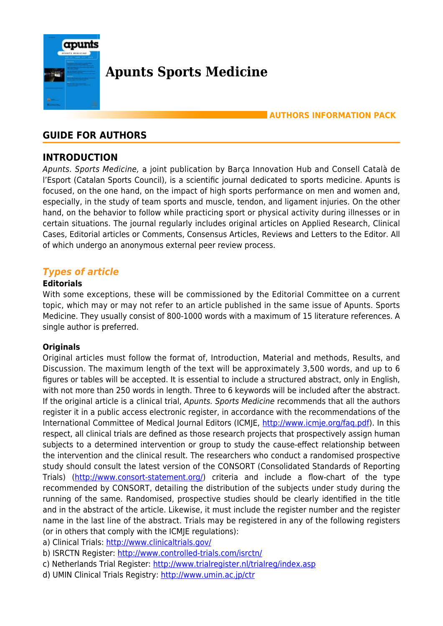

# **Apunts Sports Medicine**

# **AUTHORS INFORMATION PACK**

# **GUIDE FOR AUTHORS**

# **INTRODUCTION**

Apunts. Sports Medicine, a joint publication by Barça Innovation Hub and Consell Català de l'Esport (Catalan Sports Council), is a scientific journal dedicated to sports medicine. Apunts is focused, on the one hand, on the impact of high sports performance on men and women and, especially, in the study of team sports and muscle, tendon, and ligament injuries. On the other hand, on the behavior to follow while practicing sport or physical activity during illnesses or in certain situations. The journal regularly includes original articles on Applied Research, Clinical Cases, Editorial articles or Comments, Consensus Articles, Reviews and Letters to the Editor. All of which undergo an anonymous external peer review process.

# *Types of article*

#### **Editorials**

With some exceptions, these will be commissioned by the Editorial Committee on a current topic, which may or may not refer to an article published in the same issue of Apunts. Sports Medicine. They usually consist of 800-1000 words with a maximum of 15 literature references. A single author is preferred.

#### **Originals**

Original articles must follow the format of, Introduction, Material and methods, Results, and Discussion. The maximum length of the text will be approximately 3,500 words, and up to 6 figures or tables will be accepted. It is essential to include a structured abstract, only in English, with not more than 250 words in length. Three to 6 keywords will be included after the abstract. If the original article is a clinical trial, Apunts. Sports Medicine recommends that all the authors register it in a public access electronic register, in accordance with the recommendations of the International Committee of Medical Journal Editors (ICMJE, <http://www.icmje.org/faq.pdf>). In this respect, all clinical trials are defined as those research projects that prospectively assign human subjects to a determined intervention or group to study the cause-effect relationship between the intervention and the clinical result. The researchers who conduct a randomised prospective study should consult the latest version of the CONSORT (Consolidated Standards of Reporting Trials) ([http://www.consort-statement.org/\)](http://www.consort-statement.org/) criteria and include a flow-chart of the type recommended by CONSORT, detailing the distribution of the subjects under study during the running of the same. Randomised, prospective studies should be clearly identified in the title and in the abstract of the article. Likewise, it must include the register number and the register name in the last line of the abstract. Trials may be registered in any of the following registers (or in others that comply with the ICMJE regulations):

a) Clinical Trials: <http://www.clinicaltrials.gov/>

b) ISRCTN Register:<http://www.controlled-trials.com/isrctn/>

- c) Netherlands Trial Register: <http://www.trialregister.nl/trialreg/index.asp>
- d) UMIN Clinical Trials Registry:<http://www.umin.ac.jp/ctr>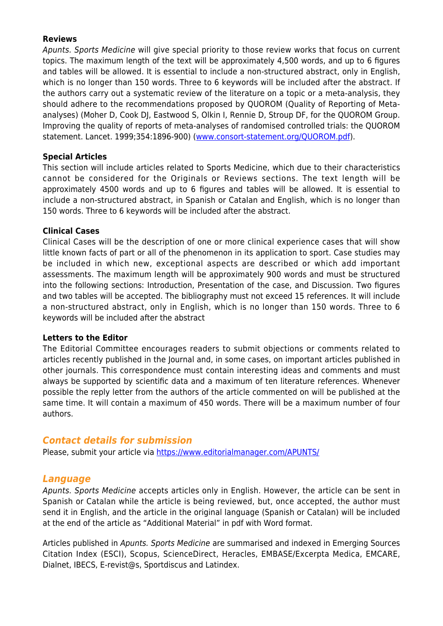#### **Reviews**

Apunts. Sports Medicine will give special priority to those review works that focus on current topics. The maximum length of the text will be approximately 4,500 words, and up to 6 figures and tables will be allowed. It is essential to include a non-structured abstract, only in English, which is no longer than 150 words. Three to 6 keywords will be included after the abstract. If the authors carry out a systematic review of the literature on a topic or a meta-analysis, they should adhere to the recommendations proposed by QUOROM (Quality of Reporting of Metaanalyses) (Moher D, Cook DJ, Eastwood S, Olkin I, Rennie D, Stroup DF, for the QUOROM Group. Improving the quality of reports of meta-analyses of randomised controlled trials: the QUOROM statement. Lancet. 1999;354:1896-900) ([www.consort-statement.org/QUOROM.pdf\)](http://www.consort-statement.org/QUOROM.pdf).

#### **Special Articles**

This section will include articles related to Sports Medicine, which due to their characteristics cannot be considered for the Originals or Reviews sections. The text length will be approximately 4500 words and up to 6 figures and tables will be allowed. It is essential to include a non-structured abstract, in Spanish or Catalan and English, which is no longer than 150 words. Three to 6 keywords will be included after the abstract.

#### **Clinical Cases**

Clinical Cases will be the description of one or more clinical experience cases that will show little known facts of part or all of the phenomenon in its application to sport. Case studies may be included in which new, exceptional aspects are described or which add important assessments. The maximum length will be approximately 900 words and must be structured into the following sections: Introduction, Presentation of the case, and Discussion. Two figures and two tables will be accepted. The bibliography must not exceed 15 references. It will include a non-structured abstract, only in English, which is no longer than 150 words. Three to 6 keywords will be included after the abstract

#### **Letters to the Editor**

The Editorial Committee encourages readers to submit objections or comments related to articles recently published in the Journal and, in some cases, on important articles published in other journals. This correspondence must contain interesting ideas and comments and must always be supported by scientific data and a maximum of ten literature references. Whenever possible the reply letter from the authors of the article commented on will be published at the same time. It will contain a maximum of 450 words. There will be a maximum number of four authors.

# *Contact details for submission*

Please, submit your article via<https://www.editorialmanager.com/APUNTS/>

# *Language*

Apunts. Sports Medicine accepts articles only in English. However, the article can be sent in Spanish or Catalan while the article is being reviewed, but, once accepted, the author must send it in English, and the article in the original language (Spanish or Catalan) will be included at the end of the article as "Additional Material" in pdf with Word format.

Articles published in Apunts. Sports Medicine are summarised and indexed in Emerging Sources Citation Index (ESCI), Scopus, ScienceDirect, Heracles, EMBASE/Excerpta Medica, EMCARE, Dialnet, IBECS, E-revist@s, Sportdiscus and Latindex.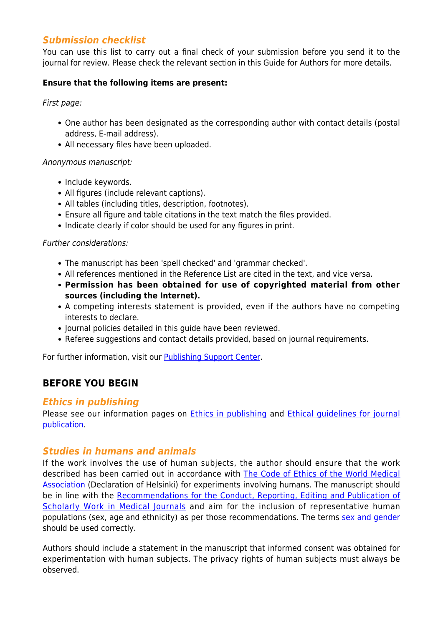# *Submission checklist*

You can use this list to carry out a final check of your submission before you send it to the journal for review. Please check the relevant section in this Guide for Authors for more details.

#### **Ensure that the following items are present:**

First page:

- One author has been designated as the corresponding author with contact details (postal address, E-mail address).
- All necessary files have been uploaded.

#### Anonymous manuscript:

- Include keywords.
- All figures (include relevant captions).
- All tables (including titles, description, footnotes).
- Ensure all figure and table citations in the text match the files provided.
- Indicate clearly if color should be used for any figures in print.

#### Further considerations:

- The manuscript has been 'spell checked' and 'grammar checked'.
- All references mentioned in the Reference List are cited in the text, and vice versa.
- **Permission has been obtained for use of copyrighted material from other sources (including the Internet).**
- A competing interests statement is provided, even if the authors have no competing interests to declare.
- Journal policies detailed in this quide have been reviewed.
- Referee suggestions and contact details provided, based on journal requirements.

For further information, visit our [Publishing Support Center.](https://service.elsevier.com/app/home/supporthub/publishing/)

# **BEFORE YOU BEGIN**

# *Ethics in publishing*

Please see our information pages on [Ethics in publishing](https://www.elsevier.com/about/policies/publishing-ethics) and [Ethical guidelines for journal](https://www.elsevier.com/authors/journal-authors/policies-and-ethics) [publication](https://www.elsevier.com/authors/journal-authors/policies-and-ethics).

# *Studies in humans and animals*

If the work involves the use of human subjects, the author should ensure that the work described has been carried out in accordance with [The Code of Ethics of the World Medical](https://www.wma.net/policies-post/wma-declaration-of-helsinki-ethical-principles-for-medical-research-involving-human-subjects/) **[Association](https://www.wma.net/policies-post/wma-declaration-of-helsinki-ethical-principles-for-medical-research-involving-human-subjects/) (Declaration of Helsinki) for experiments involving humans. The manuscript should** be in line with the [Recommendations for the Conduct, Reporting, Editing and Publication of](http://www.icmje.org/recommendations) [Scholarly Work in Medical Journals](http://www.icmje.org/recommendations) and aim for the inclusion of representative human populations (sex, age and ethnicity) as per those recommendations. The terms [sex and gender](https://www.who.int/gender-equity-rights/understanding/gender-definition/en/) should be used correctly.

Authors should include a statement in the manuscript that informed consent was obtained for experimentation with human subjects. The privacy rights of human subjects must always be observed.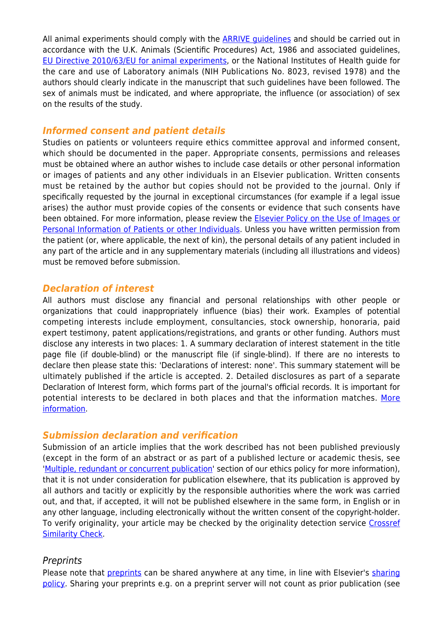All animal experiments should comply with the [ARRIVE guidelines](https://www.nc3rs.org.uk/arrive-guidelines) and should be carried out in accordance with the U.K. Animals (Scientific Procedures) Act, 1986 and associated guidelines, [EU Directive 2010/63/EU for animal experiments,](https://ec.europa.eu/environment/chemicals/lab_animals/legislation_en.htm) or the National Institutes of Health guide for the care and use of Laboratory animals (NIH Publications No. 8023, revised 1978) and the authors should clearly indicate in the manuscript that such guidelines have been followed. The sex of animals must be indicated, and where appropriate, the influence (or association) of sex on the results of the study.

#### *Informed consent and patient details*

Studies on patients or volunteers require ethics committee approval and informed consent, which should be documented in the paper. Appropriate consents, permissions and releases must be obtained where an author wishes to include case details or other personal information or images of patients and any other individuals in an Elsevier publication. Written consents must be retained by the author but copies should not be provided to the journal. Only if specifically requested by the journal in exceptional circumstances (for example if a legal issue arises) the author must provide copies of the consents or evidence that such consents have been obtained. For more information, please review the **[Elsevier Policy on the Use of Images or](https://www.elsevier.com/about/policies/patient-consent)** [Personal Information of Patients or other Individuals](https://www.elsevier.com/about/policies/patient-consent). Unless you have written permission from the patient (or, where applicable, the next of kin), the personal details of any patient included in any part of the article and in any supplementary materials (including all illustrations and videos) must be removed before submission.

#### *Declaration of interest*

All authors must disclose any financial and personal relationships with other people or organizations that could inappropriately influence (bias) their work. Examples of potential competing interests include employment, consultancies, stock ownership, honoraria, paid expert testimony, patent applications/registrations, and grants or other funding. Authors must disclose any interests in two places: 1. A summary declaration of interest statement in the title page file (if double-blind) or the manuscript file (if single-blind). If there are no interests to declare then please state this: 'Declarations of interest: none'. This summary statement will be ultimately published if the article is accepted. 2. Detailed disclosures as part of a separate Declaration of Interest form, which forms part of the journal's official records. It is important for potential interests to be declared in both places and that the information matches. [More](https://service.elsevier.com/app/answers/detail/a_id/286/supporthub/publishing) [information.](https://service.elsevier.com/app/answers/detail/a_id/286/supporthub/publishing)

# *Submission declaration and verification*

Submission of an article implies that the work described has not been published previously (except in the form of an abstract or as part of a published lecture or academic thesis, see '[Multiple, redundant or concurrent publication](http://www.elsevier.com/authors/journal-authors/policies-and-ethics)' section of our ethics policy for more information), that it is not under consideration for publication elsewhere, that its publication is approved by all authors and tacitly or explicitly by the responsible authorities where the work was carried out, and that, if accepted, it will not be published elsewhere in the same form, in English or in any other language, including electronically without the written consent of the copyright-holder. To verify originality, your article may be checked by the originality detection service [Crossref](https://www.elsevier.com/editors/perk/plagiarism-complaints/plagiarism-detection) [Similarity Check.](https://www.elsevier.com/editors/perk/plagiarism-complaints/plagiarism-detection)

# **Preprints**

Please note that [preprints](https://www.elsevier.com/about/policies/sharing/preprint) can be shared anywhere at any time, in line with Elsevier's [sharing](https://www.elsevier.com/about/policies/sharing) [policy](https://www.elsevier.com/about/policies/sharing). Sharing your preprints e.g. on a preprint server will not count as prior publication (see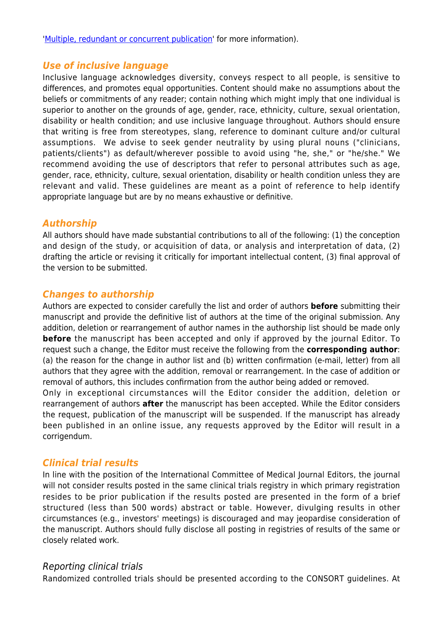'[Multiple, redundant or concurrent publication](https://www.elsevier.com/authors/journal-authors/policies-and-ethics)' for more information).

# *Use of inclusive language*

Inclusive language acknowledges diversity, conveys respect to all people, is sensitive to differences, and promotes equal opportunities. Content should make no assumptions about the beliefs or commitments of any reader; contain nothing which might imply that one individual is superior to another on the grounds of age, gender, race, ethnicity, culture, sexual orientation, disability or health condition; and use inclusive language throughout. Authors should ensure that writing is free from stereotypes, slang, reference to dominant culture and/or cultural assumptions. We advise to seek gender neutrality by using plural nouns ("clinicians, patients/clients") as default/wherever possible to avoid using "he, she," or "he/she." We recommend avoiding the use of descriptors that refer to personal attributes such as age, gender, race, ethnicity, culture, sexual orientation, disability or health condition unless they are relevant and valid. These guidelines are meant as a point of reference to help identify appropriate language but are by no means exhaustive or definitive.

# *Authorship*

All authors should have made substantial contributions to all of the following: (1) the conception and design of the study, or acquisition of data, or analysis and interpretation of data, (2) drafting the article or revising it critically for important intellectual content, (3) final approval of the version to be submitted.

# *Changes to authorship*

Authors are expected to consider carefully the list and order of authors **before** submitting their manuscript and provide the definitive list of authors at the time of the original submission. Any addition, deletion or rearrangement of author names in the authorship list should be made only **before** the manuscript has been accepted and only if approved by the journal Editor. To request such a change, the Editor must receive the following from the **corresponding author**: (a) the reason for the change in author list and (b) written confirmation (e-mail, letter) from all authors that they agree with the addition, removal or rearrangement. In the case of addition or removal of authors, this includes confirmation from the author being added or removed.

Only in exceptional circumstances will the Editor consider the addition, deletion or rearrangement of authors **after** the manuscript has been accepted. While the Editor considers the request, publication of the manuscript will be suspended. If the manuscript has already been published in an online issue, any requests approved by the Editor will result in a corrigendum.

# *Clinical trial results*

In line with the position of the International Committee of Medical Journal Editors, the journal will not consider results posted in the same clinical trials registry in which primary registration resides to be prior publication if the results posted are presented in the form of a brief structured (less than 500 words) abstract or table. However, divulging results in other circumstances (e.g., investors' meetings) is discouraged and may jeopardise consideration of the manuscript. Authors should fully disclose all posting in registries of results of the same or closely related work.

# Reporting clinical trials

Randomized controlled trials should be presented according to the CONSORT guidelines. At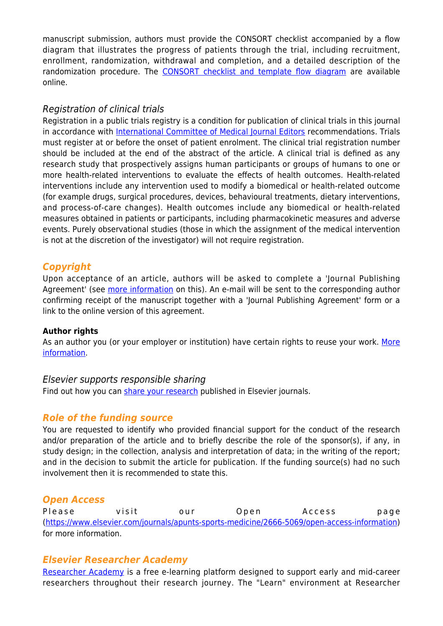manuscript submission, authors must provide the CONSORT checklist accompanied by a flow diagram that illustrates the progress of patients through the trial, including recruitment, enrollment, randomization, withdrawal and completion, and a detailed description of the randomization procedure. The [CONSORT checklist and template flow diagram](http://www.consort-statement.org) are available online.

# Registration of clinical trials

Registration in a public trials registry is a condition for publication of clinical trials in this journal in accordance with [International Committee of Medical Journal Editors](http://www.icmje.org) recommendations. Trials must register at or before the onset of patient enrolment. The clinical trial registration number should be included at the end of the abstract of the article. A clinical trial is defined as any research study that prospectively assigns human participants or groups of humans to one or more health-related interventions to evaluate the effects of health outcomes. Health-related interventions include any intervention used to modify a biomedical or health-related outcome (for example drugs, surgical procedures, devices, behavioural treatments, dietary interventions, and process-of-care changes). Health outcomes include any biomedical or health-related measures obtained in patients or participants, including pharmacokinetic measures and adverse events. Purely observational studies (those in which the assignment of the medical intervention is not at the discretion of the investigator) will not require registration.

# *Copyright*

Upon acceptance of an article, authors will be asked to complete a 'Journal Publishing Agreement' (see [more information](https://www.elsevier.com/about/policies/copyright) on this). An e-mail will be sent to the corresponding author confirming receipt of the manuscript together with a 'Journal Publishing Agreement' form or a link to the online version of this agreement.

#### **Author rights**

As an author you (or your employer or institution) have certain rights to reuse your work. [More](https://www.elsevier.com/about/policies/copyright) [information.](https://www.elsevier.com/about/policies/copyright)

# Elsevier supports responsible sharing

Find out how you can [share your research](https://www.elsevier.com/authors/journal-authors/submit-your-paper/sharing-and-promoting-your-article) published in Elsevier journals.

# *Role of the funding source*

You are requested to identify who provided financial support for the conduct of the research and/or preparation of the article and to briefly describe the role of the sponsor(s), if any, in study design; in the collection, analysis and interpretation of data; in the writing of the report; and in the decision to submit the article for publication. If the funding source(s) had no such involvement then it is recommended to state this.

# *Open Access*

Please visit our Open Access page [\(https://www.elsevier.com/journals/apunts-sports-medicine/2666-5069/open-access-information\)](https://www.elsevier.com/journals/apunts-sports-medicine/2666-5069/open-access-information) for more information.

# *Elsevier Researcher Academy*

[Researcher Academy](https://researcheracademy.elsevier.com/) is a free e-learning platform designed to support early and mid-career researchers throughout their research journey. The "Learn" environment at Researcher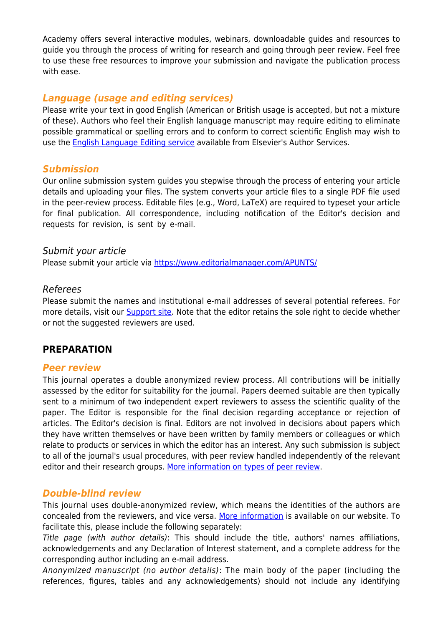Academy offers several interactive modules, webinars, downloadable guides and resources to guide you through the process of writing for research and going through peer review. Feel free to use these free resources to improve your submission and navigate the publication process with ease.

# *Language (usage and editing services)*

Please write your text in good English (American or British usage is accepted, but not a mixture of these). Authors who feel their English language manuscript may require editing to eliminate possible grammatical or spelling errors and to conform to correct scientific English may wish to use the [English Language Editing service](https://webshop.elsevier.com/language-editing-services/language-editing/) available from Elsevier's Author Services.

# *Submission*

Our online submission system guides you stepwise through the process of entering your article details and uploading your files. The system converts your article files to a single PDF file used in the peer-review process. Editable files (e.g., Word, LaTeX) are required to typeset your article for final publication. All correspondence, including notification of the Editor's decision and requests for revision, is sent by e-mail.

# Submit your article

Please submit your article via<https://www.editorialmanager.com/APUNTS/>

#### Referees

Please submit the names and institutional e-mail addresses of several potential referees. For more details, visit our **Support site**. Note that the editor retains the sole right to decide whether or not the suggested reviewers are used.

# **PREPARATION**

#### *Peer review*

This journal operates a double anonymized review process. All contributions will be initially assessed by the editor for suitability for the journal. Papers deemed suitable are then typically sent to a minimum of two independent expert reviewers to assess the scientific quality of the paper. The Editor is responsible for the final decision regarding acceptance or rejection of articles. The Editor's decision is final. Editors are not involved in decisions about papers which they have written themselves or have been written by family members or colleagues or which relate to products or services in which the editor has an interest. Any such submission is subject to all of the journal's usual procedures, with peer review handled independently of the relevant editor and their research groups. [More information on types of peer review](http://www.elsevier.com/reviewers/what-is-peer-review).

# *Double-blind review*

This journal uses double-anonymized review, which means the identities of the authors are concealed from the reviewers, and vice versa. [More information](http://www.elsevier.com/reviewers/what-is-peer-review) is available on our website. To facilitate this, please include the following separately:

Title page (with author details): This should include the title, authors' names affiliations, acknowledgements and any Declaration of Interest statement, and a complete address for the corresponding author including an e-mail address.

Anonymized manuscript (no author details): The main body of the paper (including the references, figures, tables and any acknowledgements) should not include any identifying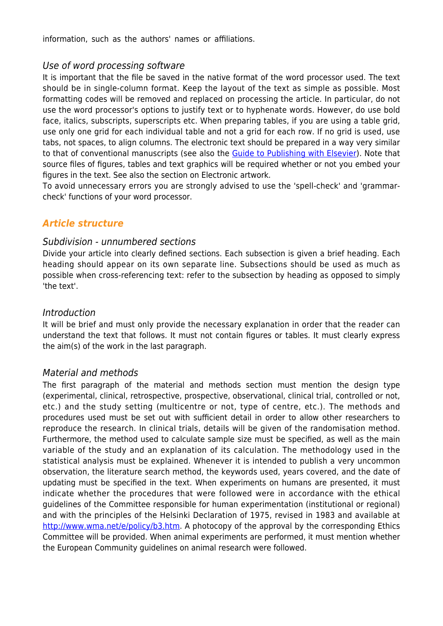information, such as the authors' names or affiliations.

#### Use of word processing software

It is important that the file be saved in the native format of the word processor used. The text should be in single-column format. Keep the layout of the text as simple as possible. Most formatting codes will be removed and replaced on processing the article. In particular, do not use the word processor's options to justify text or to hyphenate words. However, do use bold face, italics, subscripts, superscripts etc. When preparing tables, if you are using a table grid, use only one grid for each individual table and not a grid for each row. If no grid is used, use tabs, not spaces, to align columns. The electronic text should be prepared in a way very similar to that of conventional manuscripts (see also the [Guide to Publishing with Elsevier](https://www.elsevier.com/authors/journal-authors/submit-your-paper)). Note that source files of figures, tables and text graphics will be required whether or not you embed your figures in the text. See also the section on Electronic artwork.

To avoid unnecessary errors you are strongly advised to use the 'spell-check' and 'grammarcheck' functions of your word processor.

# *Article structure*

#### Subdivision - unnumbered sections

Divide your article into clearly defined sections. Each subsection is given a brief heading. Each heading should appear on its own separate line. Subsections should be used as much as possible when cross-referencing text: refer to the subsection by heading as opposed to simply 'the text'.

#### Introduction

It will be brief and must only provide the necessary explanation in order that the reader can understand the text that follows. It must not contain figures or tables. It must clearly express the aim(s) of the work in the last paragraph.

# Material and methods

The first paragraph of the material and methods section must mention the design type (experimental, clinical, retrospective, prospective, observational, clinical trial, controlled or not, etc.) and the study setting (multicentre or not, type of centre, etc.). The methods and procedures used must be set out with sufficient detail in order to allow other researchers to reproduce the research. In clinical trials, details will be given of the randomisation method. Furthermore, the method used to calculate sample size must be specified, as well as the main variable of the study and an explanation of its calculation. The methodology used in the statistical analysis must be explained. Whenever it is intended to publish a very uncommon observation, the literature search method, the keywords used, years covered, and the date of updating must be specified in the text. When experiments on humans are presented, it must indicate whether the procedures that were followed were in accordance with the ethical guidelines of the Committee responsible for human experimentation (institutional or regional) and with the principles of the Helsinki Declaration of 1975, revised in 1983 and available at [http://www.wma.net/e/policy/b3.htm.](http://www.wma.net/e/policy/b3.htm) A photocopy of the approval by the corresponding Ethics Committee will be provided. When animal experiments are performed, it must mention whether the European Community guidelines on animal research were followed.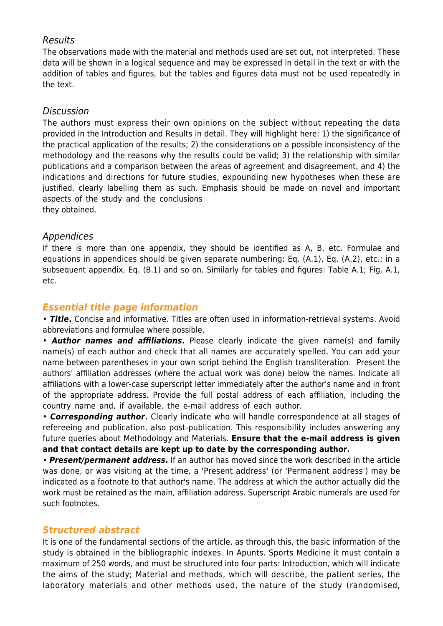# Results

The observations made with the material and methods used are set out, not interpreted. These data will be shown in a logical sequence and may be expressed in detail in the text or with the addition of tables and figures, but the tables and figures data must not be used repeatedly in the text.

#### Discussion

The authors must express their own opinions on the subject without repeating the data provided in the Introduction and Results in detail. They will highlight here: 1) the significance of the practical application of the results; 2) the considerations on a possible inconsistency of the methodology and the reasons why the results could be valid; 3) the relationship with similar publications and a comparison between the areas of agreement and disagreement, and 4) the indications and directions for future studies, expounding new hypotheses when these are justified, clearly labelling them as such. Emphasis should be made on novel and important aspects of the study and the conclusions

they obtained.

# Appendices

If there is more than one appendix, they should be identified as A, B, etc. Formulae and equations in appendices should be given separate numbering: Eq. (A.1), Eq. (A.2), etc.; in a subsequent appendix, Eq. (B.1) and so on. Similarly for tables and figures: Table A.1; Fig. A.1, etc.

# *Essential title page information*

• *Title***.** Concise and informative. Titles are often used in information-retrieval systems. Avoid abbreviations and formulae where possible.

• *Author names and affiliations***.** Please clearly indicate the given name(s) and family name(s) of each author and check that all names are accurately spelled. You can add your name between parentheses in your own script behind the English transliteration. Present the authors' affiliation addresses (where the actual work was done) below the names. Indicate all affiliations with a lower-case superscript letter immediately after the author's name and in front of the appropriate address. Provide the full postal address of each affiliation, including the country name and, if available, the e-mail address of each author.

• *Corresponding author***.** Clearly indicate who will handle correspondence at all stages of refereeing and publication, also post-publication. This responsibility includes answering any future queries about Methodology and Materials. **Ensure that the e-mail address is given and that contact details are kept up to date by the corresponding author.**

• *Present/permanent address***.** If an author has moved since the work described in the article was done, or was visiting at the time, a 'Present address' (or 'Permanent address') may be indicated as a footnote to that author's name. The address at which the author actually did the work must be retained as the main, affiliation address. Superscript Arabic numerals are used for such footnotes.

# *Structured abstract*

It is one of the fundamental sections of the article, as through this, the basic information of the study is obtained in the bibliographic indexes. In Apunts. Sports Medicine it must contain a maximum of 250 words, and must be structured into four parts: Introduction, which will indicate the aims of the study; Material and methods, which will describe, the patient series, the laboratory materials and other methods used, the nature of the study (randomised,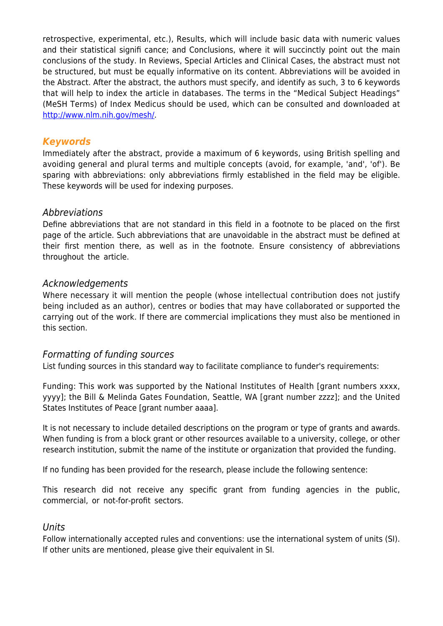retrospective, experimental, etc.), Results, which will include basic data with numeric values and their statistical signifi cance; and Conclusions, where it will succinctly point out the main conclusions of the study. In Reviews, Special Articles and Clinical Cases, the abstract must not be structured, but must be equally informative on its content. Abbreviations will be avoided in the Abstract. After the abstract, the authors must specify, and identify as such, 3 to 6 keywords that will help to index the article in databases. The terms in the "Medical Subject Headings" (MeSH Terms) of Index Medicus should be used, which can be consulted and downloaded at [http://www.nlm.nih.gov/mesh/.](http://www.nlm.nih.gov/mesh/)

# *Keywords*

Immediately after the abstract, provide a maximum of 6 keywords, using British spelling and avoiding general and plural terms and multiple concepts (avoid, for example, 'and', 'of'). Be sparing with abbreviations: only abbreviations firmly established in the field may be eligible. These keywords will be used for indexing purposes.

# Abbreviations

Define abbreviations that are not standard in this field in a footnote to be placed on the first page of the article. Such abbreviations that are unavoidable in the abstract must be defined at their first mention there, as well as in the footnote. Ensure consistency of abbreviations throughout the article.

# Acknowledgements

Where necessary it will mention the people (whose intellectual contribution does not justify being included as an author), centres or bodies that may have collaborated or supported the carrying out of the work. If there are commercial implications they must also be mentioned in this section.

# Formatting of funding sources

List funding sources in this standard way to facilitate compliance to funder's requirements:

Funding: This work was supported by the National Institutes of Health [grant numbers xxxx, yyyy]; the Bill & Melinda Gates Foundation, Seattle, WA [grant number zzzz]; and the United States Institutes of Peace [grant number aaaa].

It is not necessary to include detailed descriptions on the program or type of grants and awards. When funding is from a block grant or other resources available to a university, college, or other research institution, submit the name of the institute or organization that provided the funding.

If no funding has been provided for the research, please include the following sentence:

This research did not receive any specific grant from funding agencies in the public, commercial, or not-for-profit sectors.

# Units

Follow internationally accepted rules and conventions: use the international system of units (SI). If other units are mentioned, please give their equivalent in SI.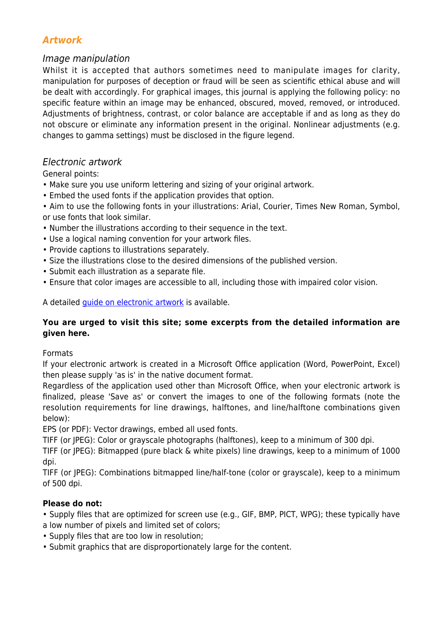# *Artwork*

# Image manipulation

Whilst it is accepted that authors sometimes need to manipulate images for clarity, manipulation for purposes of deception or fraud will be seen as scientific ethical abuse and will be dealt with accordingly. For graphical images, this journal is applying the following policy: no specific feature within an image may be enhanced, obscured, moved, removed, or introduced. Adjustments of brightness, contrast, or color balance are acceptable if and as long as they do not obscure or eliminate any information present in the original. Nonlinear adjustments (e.g. changes to gamma settings) must be disclosed in the figure legend.

# Electronic artwork

General points:

- Make sure you use uniform lettering and sizing of your original artwork.
- Embed the used fonts if the application provides that option.

• Aim to use the following fonts in your illustrations: Arial, Courier, Times New Roman, Symbol, or use fonts that look similar.

- Number the illustrations according to their sequence in the text.
- Use a logical naming convention for your artwork files.
- Provide captions to illustrations separately.
- Size the illustrations close to the desired dimensions of the published version.
- Submit each illustration as a separate file.
- Ensure that color images are accessible to all, including those with impaired color vision.

A detailed *[guide on electronic artwork](https://www.elsevier.com/authors/author-schemas/artwork-and-media-instructions)* is available.

# **You are urged to visit this site; some excerpts from the detailed information are given here.**

Formats

If your electronic artwork is created in a Microsoft Office application (Word, PowerPoint, Excel) then please supply 'as is' in the native document format.

Regardless of the application used other than Microsoft Office, when your electronic artwork is finalized, please 'Save as' or convert the images to one of the following formats (note the resolution requirements for line drawings, halftones, and line/halftone combinations given below):

EPS (or PDF): Vector drawings, embed all used fonts.

TIFF (or JPEG): Color or grayscale photographs (halftones), keep to a minimum of 300 dpi.

TIFF (or JPEG): Bitmapped (pure black & white pixels) line drawings, keep to a minimum of 1000 dpi.

TIFF (or JPEG): Combinations bitmapped line/half-tone (color or grayscale), keep to a minimum of 500 dpi.

# **Please do not:**

• Supply files that are optimized for screen use (e.g., GIF, BMP, PICT, WPG); these typically have a low number of pixels and limited set of colors;

- Supply files that are too low in resolution;
- Submit graphics that are disproportionately large for the content.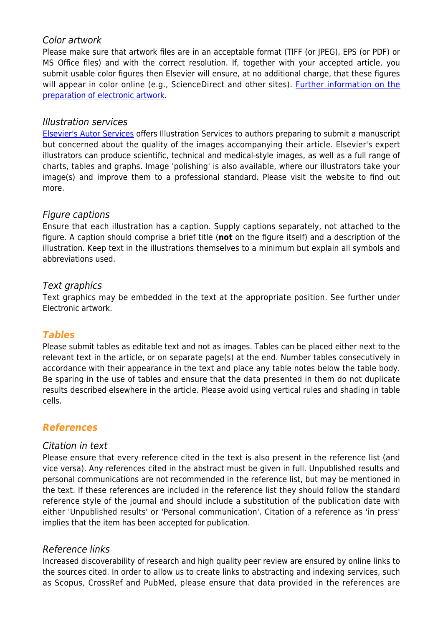# Color artwork

Please make sure that artwork files are in an acceptable format (TIFF (or JPEG), EPS (or PDF) or MS Office files) and with the correct resolution. If, together with your accepted article, you submit usable color figures then Elsevier will ensure, at no additional charge, that these figures will appear in color online (e.g., ScienceDirect and other sites). [Further information on the](https://www.elsevier.com/authors/author-schemas/artwork-and-media-instructions) [preparation of electronic artwork](https://www.elsevier.com/authors/author-schemas/artwork-and-media-instructions).

# Illustration services

[Elsevier's Autor Services](https://webshop.elsevier.com/illustration-services/) offers Illustration Services to authors preparing to submit a manuscript but concerned about the quality of the images accompanying their article. Elsevier's expert illustrators can produce scientific, technical and medical-style images, as well as a full range of charts, tables and graphs. Image 'polishing' is also available, where our illustrators take your image(s) and improve them to a professional standard. Please visit the website to find out more.

# Figure captions

Ensure that each illustration has a caption. Supply captions separately, not attached to the figure. A caption should comprise a brief title (**not** on the figure itself) and a description of the illustration. Keep text in the illustrations themselves to a minimum but explain all symbols and abbreviations used.

# Text graphics

Text graphics may be embedded in the text at the appropriate position. See further under Electronic artwork.

# *Tables*

Please submit tables as editable text and not as images. Tables can be placed either next to the relevant text in the article, or on separate page(s) at the end. Number tables consecutively in accordance with their appearance in the text and place any table notes below the table body. Be sparing in the use of tables and ensure that the data presented in them do not duplicate results described elsewhere in the article. Please avoid using vertical rules and shading in table cells.

# *References*

# Citation in text

Please ensure that every reference cited in the text is also present in the reference list (and vice versa). Any references cited in the abstract must be given in full. Unpublished results and personal communications are not recommended in the reference list, but may be mentioned in the text. If these references are included in the reference list they should follow the standard reference style of the journal and should include a substitution of the publication date with either 'Unpublished results' or 'Personal communication'. Citation of a reference as 'in press' implies that the item has been accepted for publication.

# Reference links

Increased discoverability of research and high quality peer review are ensured by online links to the sources cited. In order to allow us to create links to abstracting and indexing services, such as Scopus, CrossRef and PubMed, please ensure that data provided in the references are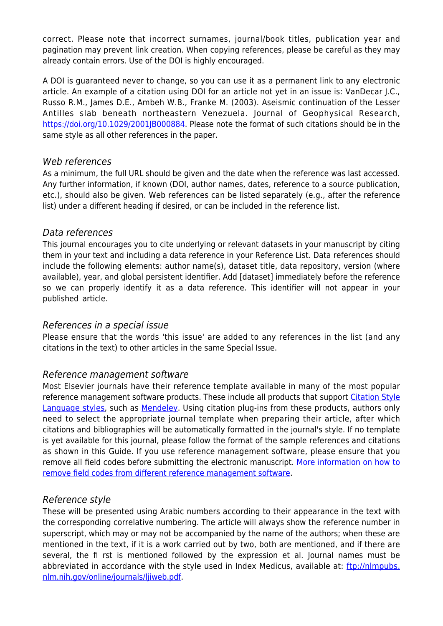correct. Please note that incorrect surnames, journal/book titles, publication year and pagination may prevent link creation. When copying references, please be careful as they may already contain errors. Use of the DOI is highly encouraged.

A DOI is guaranteed never to change, so you can use it as a permanent link to any electronic article. An example of a citation using DOI for an article not yet in an issue is: VanDecar J.C., Russo R.M., James D.E., Ambeh W.B., Franke M. (2003). Aseismic continuation of the Lesser Antilles slab beneath northeastern Venezuela. Journal of Geophysical Research, [https://doi.org/10.1029/2001JB000884.](https://doi.org/10.1029/2001JB000884) Please note the format of such citations should be in the same style as all other references in the paper.

#### Web references

As a minimum, the full URL should be given and the date when the reference was last accessed. Any further information, if known (DOI, author names, dates, reference to a source publication, etc.), should also be given. Web references can be listed separately (e.g., after the reference list) under a different heading if desired, or can be included in the reference list.

#### Data references

This journal encourages you to cite underlying or relevant datasets in your manuscript by citing them in your text and including a data reference in your Reference List. Data references should include the following elements: author name(s), dataset title, data repository, version (where available), year, and global persistent identifier. Add [dataset] immediately before the reference so we can properly identify it as a data reference. This identifier will not appear in your published article.

#### References in a special issue

Please ensure that the words 'this issue' are added to any references in the list (and any citations in the text) to other articles in the same Special Issue.

# Reference management software

Most Elsevier journals have their reference template available in many of the most popular reference management software products. These include all products that support [Citation Style](https://citationstyles.org) [Language styles,](https://citationstyles.org) such as [Mendeley.](https://www.mendeley.com/reference-management/reference-manager/) Using citation plug-ins from these products, authors only need to select the appropriate journal template when preparing their article, after which citations and bibliographies will be automatically formatted in the journal's style. If no template is yet available for this journal, please follow the format of the sample references and citations as shown in this Guide. If you use reference management software, please ensure that you remove all field codes before submitting the electronic manuscript. [More information on how to](https://service.elsevier.com/app/answers/detail/a_id/26093) [remove field codes from different reference management software](https://service.elsevier.com/app/answers/detail/a_id/26093).

# Reference style

These will be presented using Arabic numbers according to their appearance in the text with the corresponding correlative numbering. The article will always show the reference number in superscript, which may or may not be accompanied by the name of the authors; when these are mentioned in the text, if it is a work carried out by two, both are mentioned, and if there are several, the fi rst is mentioned followed by the expression et al. Journal names must be abbreviated in accordance with the style used in Index Medicus, available at: [ftp://nlmpubs.](ftp://nlmpubs.%20nlm.nih.gov/online/journals/ljiweb.pdf) [nlm.nih.gov/online/journals/ljiweb.pdf](ftp://nlmpubs.%20nlm.nih.gov/online/journals/ljiweb.pdf).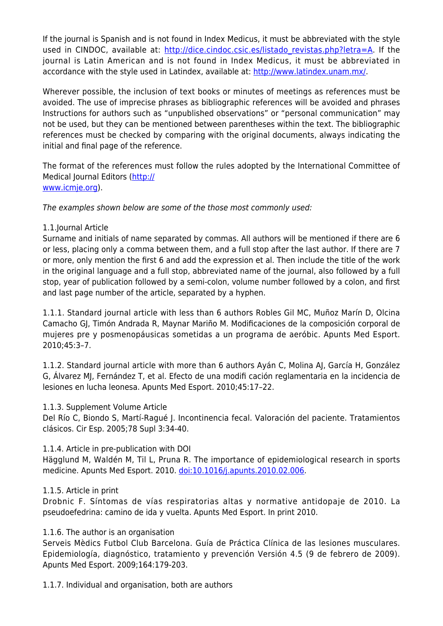If the journal is Spanish and is not found in Index Medicus, it must be abbreviated with the style used in CINDOC, available at: http://dice.cindoc.csic.es/listado revistas.php?letra=A. If the journal is Latin American and is not found in Index Medicus, it must be abbreviated in accordance with the style used in Latindex, available at: [http://www.latindex.unam.mx/.](http://www.latindex.unam.mx/)

Wherever possible, the inclusion of text books or minutes of meetings as references must be avoided. The use of imprecise phrases as bibliographic references will be avoided and phrases Instructions for authors such as "unpublished observations" or "personal communication" may not be used, but they can be mentioned between parentheses within the text. The bibliographic references must be checked by comparing with the original documents, always indicating the initial and final page of the reference.

The format of the references must follow the rules adopted by the International Committee of Medical Journal Editors ([http://](http://%20www.icmje.org) [www.icmje.org](http://%20www.icmje.org)).

The examples shown below are some of the those most commonly used:

#### 1.1.Journal Article

Surname and initials of name separated by commas. All authors will be mentioned if there are 6 or less, placing only a comma between them, and a full stop after the last author. If there are 7 or more, only mention the first 6 and add the expression et al. Then include the title of the work in the original language and a full stop, abbreviated name of the journal, also followed by a full stop, year of publication followed by a semi-colon, volume number followed by a colon, and first and last page number of the article, separated by a hyphen.

1.1.1. Standard journal article with less than 6 authors Robles Gil MC, Muñoz Marín D, Olcina Camacho GJ, Timón Andrada R, Maynar Mariño M. Modificaciones de la composición corporal de mujeres pre y posmenopáusicas sometidas a un programa de aeróbic. Apunts Med Esport. 2010;45:3–7.

1.1.2. Standard journal article with more than 6 authors Ayán C, Molina AJ, García H, González G, Álvarez MJ, Fernández T, et al. Efecto de una modifi cación reglamentaria en la incidencia de lesiones en lucha leonesa. Apunts Med Esport. 2010;45:17–22.

#### 1.1.3. Supplement Volume Article

Del Río C, Biondo S, Martí-Ragué J. Incontinencia fecal. Valoración del paciente. Tratamientos clásicos. Cir Esp. 2005;78 Supl 3:34-40.

# 1.1.4. Article in pre-publication with DOI

Hägglund M, Waldén M, Til L, Pruna R. The importance of epidemiological research in sports medicine. Apunts Med Esport. 2010. [doi:10.1016/j.apunts.2010.02.006.](doi:10.1016/j.apunts.2010.02.006)

# 1.1.5. Article in print

Drobnic F. Síntomas de vías respiratorias altas y normative antidopaje de 2010. La pseudoefedrina: camino de ida y vuelta. Apunts Med Esport. In print 2010.

# 1.1.6. The author is an organisation

Serveis Mèdics Futbol Club Barcelona. Guía de Práctica Clínica de las lesiones musculares. Epidemiología, diagnóstico, tratamiento y prevención Versión 4.5 (9 de febrero de 2009). Apunts Med Esport. 2009;164:179-203.

1.1.7. Individual and organisation, both are authors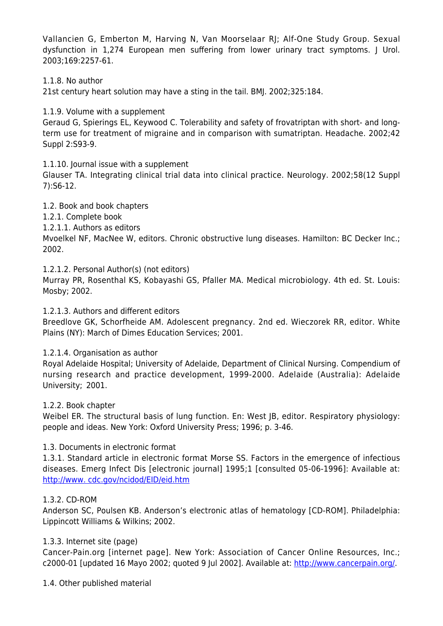Vallancien G, Emberton M, Harving N, Van Moorselaar RJ; Alf-One Study Group. Sexual dysfunction in 1,274 European men suffering from lower urinary tract symptoms. J Urol. 2003;169:2257-61.

1.1.8. No author

21st century heart solution may have a sting in the tail. BMJ. 2002;325:184.

1.1.9. Volume with a supplement

Geraud G, Spierings EL, Keywood C. Tolerability and safety of frovatriptan with short- and longterm use for treatment of migraine and in comparison with sumatriptan. Headache. 2002;42 Suppl 2:S93-9.

1.1.10. Journal issue with a supplement

Glauser TA. Integrating clinical trial data into clinical practice. Neurology. 2002;58(12 Suppl 7):S6-12.

1.2. Book and book chapters

1.2.1. Complete book

1.2.1.1. Authors as editors

Mvoelkel NF, MacNee W, editors. Chronic obstructive lung diseases. Hamilton: BC Decker Inc.; 2002.

1.2.1.2. Personal Author(s) (not editors)

Murray PR, Rosenthal KS, Kobayashi GS, Pfaller MA. Medical microbiology. 4th ed. St. Louis: Mosby; 2002.

1.2.1.3. Authors and different editors

Breedlove GK, Schorfheide AM. Adolescent pregnancy. 2nd ed. Wieczorek RR, editor. White Plains (NY): March of Dimes Education Services; 2001.

#### 1.2.1.4. Organisation as author

Royal Adelaide Hospital; University of Adelaide, Department of Clinical Nursing. Compendium of nursing research and practice development, 1999-2000. Adelaide (Australia): Adelaide University; 2001.

#### 1.2.2. Book chapter

Weibel ER. The structural basis of lung function. En: West JB, editor. Respiratory physiology: people and ideas. New York: Oxford University Press; 1996; p. 3-46.

#### 1.3. Documents in electronic format

1.3.1. Standard article in electronic format Morse SS. Factors in the emergence of infectious diseases. Emerg Infect Dis [electronic journal] 1995;1 [consulted 05-06-1996]: Available at: [http://www. cdc.gov/ncidod/EID/eid.htm](http://www.%20cdc.gov/ncidod/EID/eid.htm)

#### 1.3.2. CD-ROM

Anderson SC, Poulsen KB. Anderson's electronic atlas of hematology [CD-ROM]. Philadelphia: Lippincott Williams & Wilkins; 2002.

#### 1.3.3. Internet site (page)

Cancer-Pain.org [internet page]. New York: Association of Cancer Online Resources, Inc.; c2000-01 [updated 16 Mayo 2002; quoted 9 Jul 2002]. Available at: [http://www.cancerpain.org/.](http://www.cancerpain.org/)

1.4. Other published material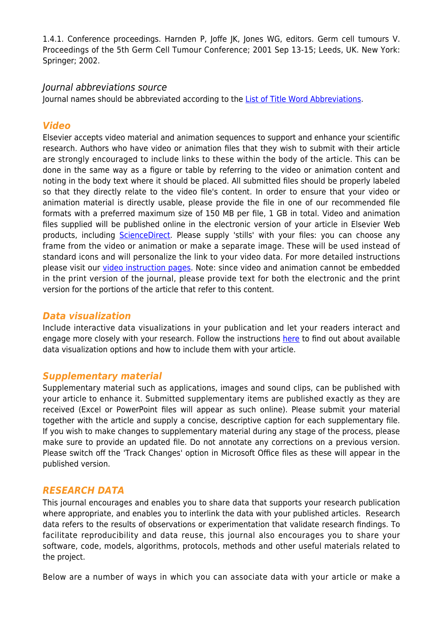1.4.1. Conference proceedings. Harnden P, Joffe JK, Jones WG, editors. Germ cell tumours V. Proceedings of the 5th Germ Cell Tumour Conference; 2001 Sep 13-15; Leeds, UK. New York: Springer; 2002.

#### Journal abbreviations source

Journal names should be abbreviated according to the [List of Title Word Abbreviations](https://www.issn.org/services/online-services/access-to-the-ltwa/).

# *Video*

Elsevier accepts video material and animation sequences to support and enhance your scientific research. Authors who have video or animation files that they wish to submit with their article are strongly encouraged to include links to these within the body of the article. This can be done in the same way as a figure or table by referring to the video or animation content and noting in the body text where it should be placed. All submitted files should be properly labeled so that they directly relate to the video file's content. In order to ensure that your video or animation material is directly usable, please provide the file in one of our recommended file formats with a preferred maximum size of 150 MB per file, 1 GB in total. Video and animation files supplied will be published online in the electronic version of your article in Elsevier Web products, including **ScienceDirect**. Please supply 'stills' with your files: you can choose any frame from the video or animation or make a separate image. These will be used instead of standard icons and will personalize the link to your video data. For more detailed instructions please visit our [video instruction pages](https://www.elsevier.com/authors/author-schemas/artwork-and-media-instructions). Note: since video and animation cannot be embedded in the print version of the journal, please provide text for both the electronic and the print version for the portions of the article that refer to this content.

# *Data visualization*

Include interactive data visualizations in your publication and let your readers interact and engage more closely with your research. Follow the instructions [here](https://www.elsevier.com/authors/tools-and-resources/data-visualization) to find out about available data visualization options and how to include them with your article.

# *Supplementary material*

Supplementary material such as applications, images and sound clips, can be published with your article to enhance it. Submitted supplementary items are published exactly as they are received (Excel or PowerPoint files will appear as such online). Please submit your material together with the article and supply a concise, descriptive caption for each supplementary file. If you wish to make changes to supplementary material during any stage of the process, please make sure to provide an updated file. Do not annotate any corrections on a previous version. Please switch off the 'Track Changes' option in Microsoft Office files as these will appear in the published version.

# *RESEARCH DATA*

This journal encourages and enables you to share data that supports your research publication where appropriate, and enables you to interlink the data with your published articles. Research data refers to the results of observations or experimentation that validate research findings. To facilitate reproducibility and data reuse, this journal also encourages you to share your software, code, models, algorithms, protocols, methods and other useful materials related to the project.

Below are a number of ways in which you can associate data with your article or make a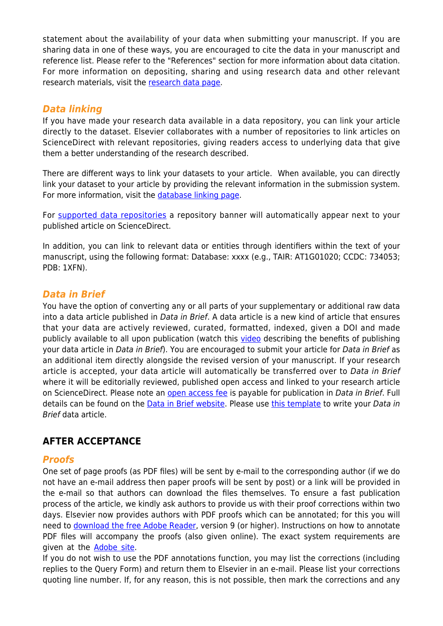statement about the availability of your data when submitting your manuscript. If you are sharing data in one of these ways, you are encouraged to cite the data in your manuscript and reference list. Please refer to the "References" section for more information about data citation. For more information on depositing, sharing and using research data and other relevant research materials, visit the [research data page](https://www.elsevier.com/authors/author-resources/research-data).

# *Data linking*

If you have made your research data available in a data repository, you can link your article directly to the dataset. Elsevier collaborates with a number of repositories to link articles on ScienceDirect with relevant repositories, giving readers access to underlying data that give them a better understanding of the research described.

There are different ways to link your datasets to your article. When available, you can directly link your dataset to your article by providing the relevant information in the submission system. For more information, visit the [database linking page.](https://www.elsevier.com/authors/tools-and-resources/research-data/data-base-linking)

For [supported data repositories](https://www.elsevier.com/authors/tools-and-resources/research-data/data-base-linking#repositories) a repository banner will automatically appear next to your published article on ScienceDirect.

In addition, you can link to relevant data or entities through identifiers within the text of your manuscript, using the following format: Database: xxxx (e.g., TAIR: AT1G01020; CCDC: 734053; PDB: 1XFN).

# *Data in Brief*

You have the option of converting any or all parts of your supplementary or additional raw data into a data article published in Data in Brief. A data article is a new kind of article that ensures that your data are actively reviewed, curated, formatted, indexed, given a DOI and made publicly available to all upon publication (watch this [video](https://www.journals.elsevier.com/data-in-brief/about-data-in-brief/video-discover-the-benefits-of-publishing-your-research-data) describing the benefits of publishing your data article in Data in Brief). You are encouraged to submit your article for Data in Brief as an additional item directly alongside the revised version of your manuscript. If your research article is accepted, your data article will automatically be transferred over to Data in Brief where it will be editorially reviewed, published open access and linked to your research article on ScienceDirect. Please note an [open access fee](https://www.elsevier.com/journals/data-in-brief/2352-3409/open-access-journal) is payable for publication in Data in Brief. Full details can be found on the [Data in Brief website](http://www.journals.elsevier.com/data-in-brief). Please use [this template](https://www.elsevier.com/__data/assets/word_doc/0004/215779/Datainbrief_template.docx) to write your Data in Brief data article.

# **AFTER ACCEPTANCE**

# *Proofs*

One set of page proofs (as PDF files) will be sent by e-mail to the corresponding author (if we do not have an e-mail address then paper proofs will be sent by post) or a link will be provided in the e-mail so that authors can download the files themselves. To ensure a fast publication process of the article, we kindly ask authors to provide us with their proof corrections within two days. Elsevier now provides authors with PDF proofs which can be annotated; for this you will need to [download the free Adobe Reader](https://get.adobe.com/reader), version 9 (or higher). Instructions on how to annotate PDF files will accompany the proofs (also given online). The exact system requirements are given at the [Adobe site.](https://helpx.adobe.com/reader/system-requirements.html)

If you do not wish to use the PDF annotations function, you may list the corrections (including replies to the Query Form) and return them to Elsevier in an e-mail. Please list your corrections quoting line number. If, for any reason, this is not possible, then mark the corrections and any